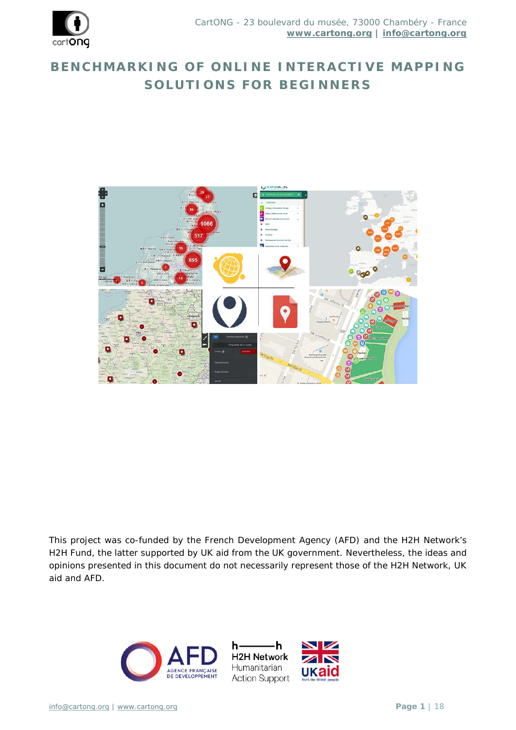

# **BENCHMARKING OF ONLINE INTERACTIVE MAPPING SOLUTIONS FOR BEGINNERS**



*This project was co-funded by the French Development Agency (AFD) and the H2H Network's H2H Fund, the latter supported by UK aid from the UK government. Nevertheless, the ideas and opinions presented in this document do not necessarily represent those of the H2H Network, UK aid and AFD.*



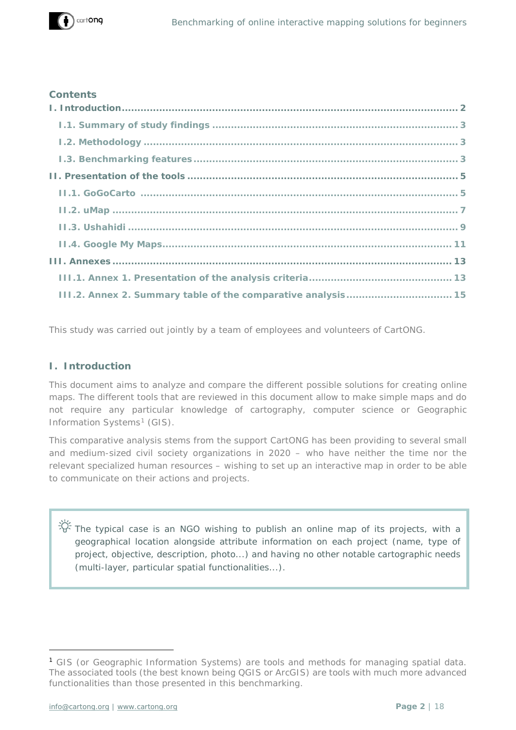

#### **Contents**

| III.2. Annex 2. Summary table of the comparative analysis 15 |
|--------------------------------------------------------------|

This study was carried out jointly by a team of employees and volunteers of CartONG.

## <span id="page-1-0"></span>**I. Introduction**

This document aims to analyze and compare the different possible solutions for creating online maps. The different tools that are reviewed in this document allow to make simple maps and do not require any particular knowledge of cartography, computer science or Geographic Information Systems<sup>[1](#page-1-1)</sup> (GIS).

This comparative analysis stems from the support CartONG has been providing to several small and medium-sized civil society organizations in 2020 – who have neither the time nor the relevant specialized human resources – wishing to set up an interactive map in order to be able to communicate on their actions and projects.

The typical case is an NGO wishing to publish an online map of its projects, with a geographical location alongside attribute information on each project (name, type of project, objective, description, photo...) and having no other notable cartographic needs (multi-layer, particular spatial functionalities...).

-

<span id="page-1-1"></span><sup>1</sup> GIS (or Geographic Information Systems) are tools and methods for managing spatial data. The associated tools (the best known being QGIS or ArcGIS) are tools with much more advanced functionalities than those presented in this benchmarking.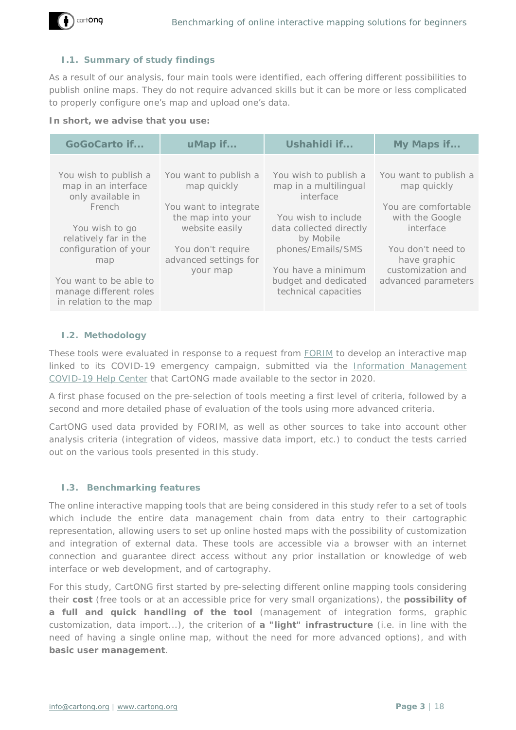

## <span id="page-2-0"></span>**I.1. Summary of study findings**

As a result of our analysis, four main tools were identified, each offering different possibilities to publish online maps. They do not require advanced skills but it can be more or less complicated to properly configure one's map and upload one's data.

#### **In short, we advise that you use:**

| <b>GoGoCarto if</b>                                                        | uMap if                                    | Ushahidi if                                  | My Maps if                             |
|----------------------------------------------------------------------------|--------------------------------------------|----------------------------------------------|----------------------------------------|
| You wish to publish a                                                      | You want to publish a                      | You wish to publish a                        | You want to publish a                  |
| map in an interface<br>only available in                                   | map quickly                                | map in a multilingual<br>interface           | map quickly                            |
| French                                                                     | You want to integrate<br>the map into your | You wish to include                          | You are comfortable<br>with the Google |
| You wish to go<br>relatively far in the                                    | website easily                             | data collected directly<br>by Mobile         | interface                              |
| configuration of your<br>map                                               | You don't require<br>advanced settings for | phones/Emails/SMS                            | You don't need to<br>have graphic      |
|                                                                            | your map                                   | You have a minimum                           | customization and                      |
| You want to be able to<br>manage different roles<br>in relation to the map |                                            | budget and dedicated<br>technical capacities | advanced parameters                    |

#### <span id="page-2-1"></span>**I.2. Methodology**

These tools were evaluated in response to a request from FORIM to develop an interactive map linked to its COVID-19 emergency campaign, submitted via the Information Management COVID-19 Help Center that CartONG made available to the sector in 2020.

A first phase focused on the pre-selection of tools meeting a first level of criteria, followed by a second and more detailed phase of evaluation of the tools using more advanced criteria.

CartONG used data provided by FORIM, as well as other sources to take into account other analysis criteria (integration of videos, massive data import, etc.) to conduct the tests carried out on the various tools presented in this study.

#### <span id="page-2-2"></span>**I.3. Benchmarking features**

The online interactive mapping tools that are being considered in this study refer to a set of tools which include the entire data management chain from data entry to their cartographic representation, allowing users to set up online hosted maps with the possibility of customization and integration of external data. These tools are accessible via a browser with an internet connection and guarantee direct access without any prior installation or knowledge of web interface or web development, and of cartography.

For this study, CartONG first started by pre-selecting different online mapping tools considering their **cost** (free tools or at an accessible price for very small organizations), the **possibility of a full and quick handling of the tool** (management of integration forms, graphic customization, data import...), the criterion of **a "light" infrastructure** (i.e. in line with the need of having a single online map, without the need for more advanced options), and with **basic user management**.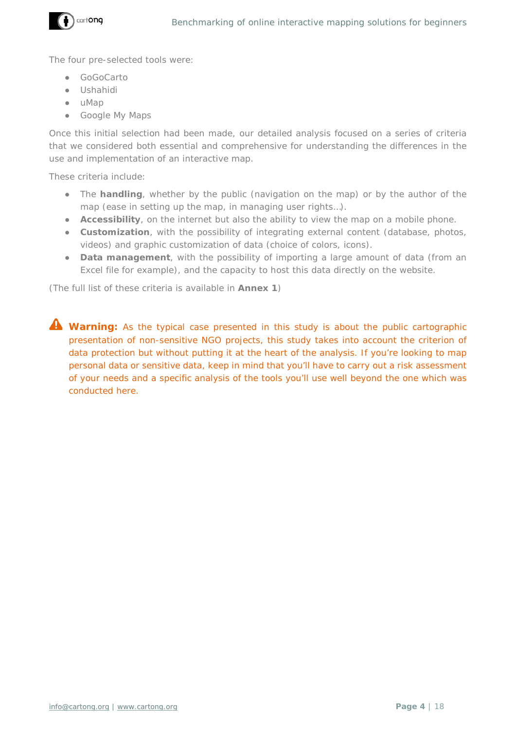

The four pre-selected tools were:

- GoGoCarto
- Ushahidi
- uMap
- Google My Maps

Once this initial selection had been made, our detailed analysis focused on a series of criteria that we considered both essential and comprehensive for understanding the differences in the use and implementation of an interactive map.

These criteria include:

- The **handling**, whether by the public (navigation on the map) or by the author of the map (ease in setting up the map, in managing user rights…).
- **Accessibility**, on the internet but also the ability to view the map on a mobile phone.
- **Customization**, with the possibility of integrating external content (database, photos, videos) and graphic customization of data (choice of colors, icons).
- **Data management**, with the possibility of importing a large amount of data (from an Excel file for example), and the capacity to host this data directly on the website.

(*The full list of these criteria is available in Annex 1*)

**A** Warning: As the typical case presented in this study is about the public cartographic presentation of non-sensitive NGO projects, this study takes into account the criterion of data protection but without putting it at the heart of the analysis. If you're looking to map personal data or sensitive data, keep in mind that you'll have to carry out a risk assessment of your needs and a specific analysis of the tools you'll use well beyond the one which was conducted here.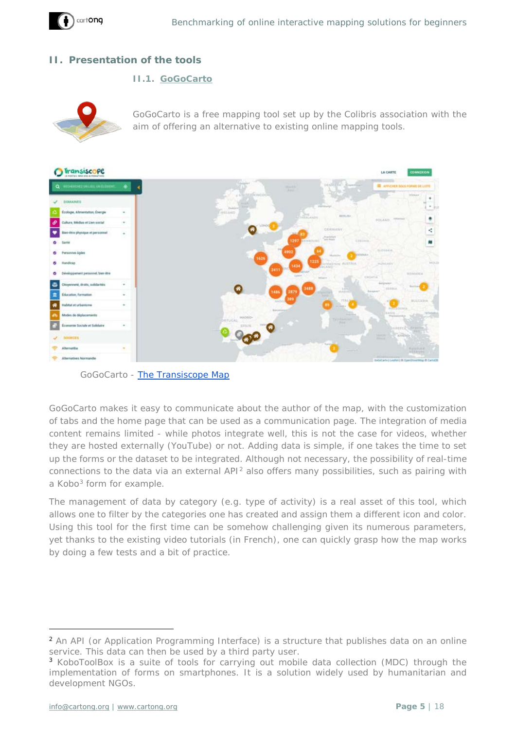

## <span id="page-4-0"></span>**II. Presentation of the tools**

#### <span id="page-4-1"></span>**II.1. [GoGoCarto](https://gogocarto.fr/projects)**



GoGoCarto is a free mapping tool set up by the Colibris association with the aim of offering an alternative to existing online mapping tools.



*GoGoCarto - [The Transiscope Map](https://transiscope.org/carte-des-alternatives/#/carte/@46.33,2.50,6z?cat=all)*

GoGoCarto makes it easy to communicate about the author of the map, with the customization of tabs and the home page that can be used as a communication page. The integration of media content remains limited - while photos integrate well, this is not the case for videos, whether they are hosted externally (YouTube) or not. Adding data is simple, if one takes the time to set up the forms or the dataset to be integrated. Although not necessary, the possibility of real-time connections to the data via an external API[2](#page-4-2) also offers many possibilities, such as pairing with a Kobo<sup>[3](#page-4-3)</sup> form for example.

The management of data by category (e.g. type of activity) is a real asset of this tool, which allows one to filter by the categories one has created and assign them a different icon and color. Using this tool for the first time can be somehow challenging given its numerous parameters, yet thanks to the existing video tutorials (in French), one can quickly grasp how the map works by doing a few tests and a bit of practice.

-

<span id="page-4-2"></span><sup>2</sup> An API (or Application Programming Interface) is a structure that publishes data on an online service. This data can then be used by a third party user.

<span id="page-4-3"></span><sup>3</sup> KoboToolBox is a suite of tools for carrying out mobile data collection (MDC) through the implementation of forms on smartphones. It is a solution widely used by humanitarian and development NGOs.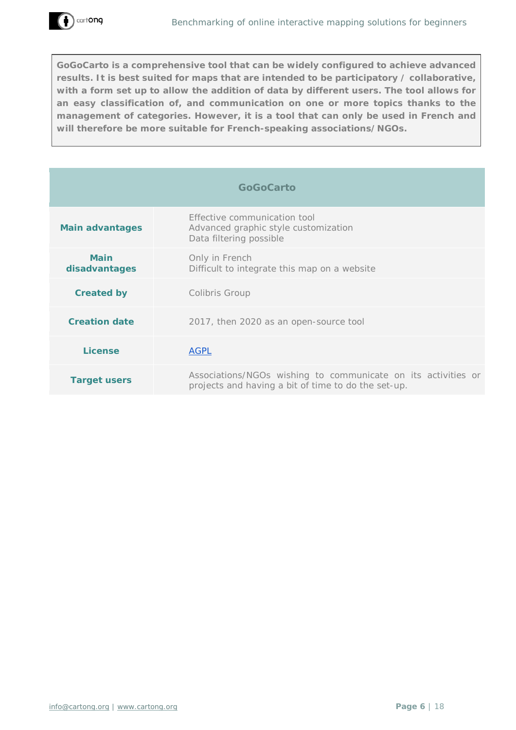**GoGoCarto is a comprehensive tool that can be widely configured to achieve advanced results. It is best suited for maps that are intended to be participatory / collaborative, with a form set up to allow the addition of data by different users. The tool allows for an easy classification of, and communication on one or more topics thanks to the management of categories. However, it is a tool that can only be used in French and will therefore be more suitable for French-speaking associations/NGOs.**

| <b>GoGoCarto</b> |  |  |  |  |  |  |  |
|------------------|--|--|--|--|--|--|--|
|------------------|--|--|--|--|--|--|--|

| Main advantages              | Effective communication tool<br>Advanced graphic style customization<br>Data filtering possible                      |
|------------------------------|----------------------------------------------------------------------------------------------------------------------|
| <b>Main</b><br>disadvantages | Only in French<br>Difficult to integrate this map on a website                                                       |
| <b>Created by</b>            | Colibris Group                                                                                                       |
| <b>Creation date</b>         | 2017, then 2020 as an open-source tool                                                                               |
| License                      | <b>AGPL</b>                                                                                                          |
| Target users                 | Associations/NGOs wishing to communicate on its activities or<br>projects and having a bit of time to do the set-up. |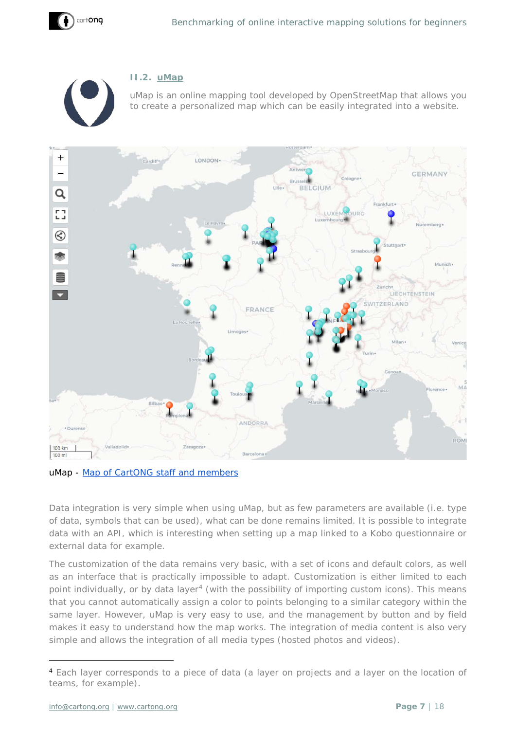<span id="page-6-0"></span>



## **II.2. [uMap](https://umap.openstreetmap.fr/fr/)**

uMap is an online mapping tool developed by OpenStreetMap that allows you to create a personalized map which can be easily integrated into a website.



*uMap - [Map of Ca](https://umap.openstreetmap.fr/fr/map/cartong-carte-des-membres_61981#4/38.44/6.59)rtONG staff and members*

Data integration is very simple when using uMap, but as few parameters are available (i.e. type of data, symbols that can be used), what can be done remains limited. It is possible to integrate data with an API, which is interesting when setting up a map linked to a Kobo questionnaire or external data for example.

The customization of the data remains very basic, with a set of icons and default colors, as well as an interface that is practically impossible to adapt. Customization is either limited to each point individually, or by data layer<sup>[4](#page-6-1)</sup> (with the possibility of importing custom icons). This means that you cannot automatically assign a color to points belonging to a similar category within the same layer. However, uMap is very easy to use, and the management by button and by field makes it easy to understand how the map works. The integration of media content is also very simple and allows the integration of all media types (hosted photos and videos).

-

<span id="page-6-1"></span><sup>4</sup> Each layer corresponds to a piece of data (a layer on projects and a layer on the location of teams, for example).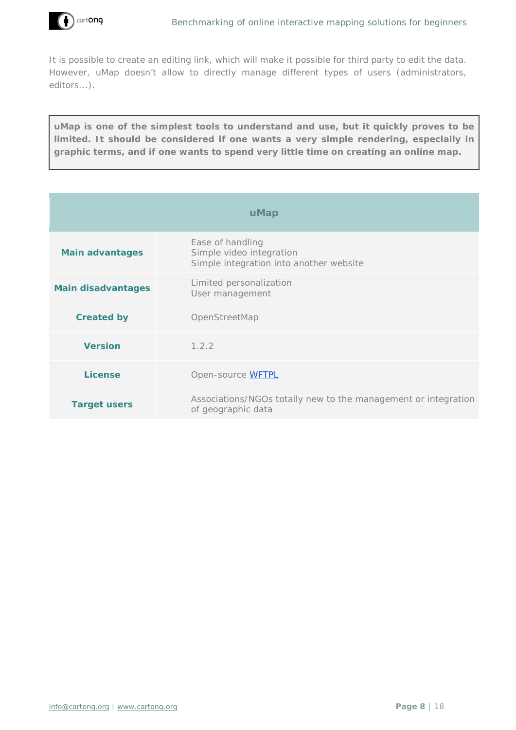

It is possible to create an editing link, which will make it possible for third party to edit the data. However, uMap doesn't allow to directly manage different types of users (administrators, editors...).

**uMap is one of the simplest tools to understand and use, but it quickly proves to be limited. It should be considered if one wants a very simple rendering, especially in graphic terms, and if one wants to spend very little time on creating an online map.**

| uMap                      |                                                                                         |  |  |  |
|---------------------------|-----------------------------------------------------------------------------------------|--|--|--|
| <b>Main advantages</b>    | Ease of handling<br>Simple video integration<br>Simple integration into another website |  |  |  |
| <b>Main disadvantages</b> | Limited personalization<br>User management                                              |  |  |  |
| <b>Created by</b>         | OpenStreetMap                                                                           |  |  |  |
| <b>Version</b>            | 1.2.2                                                                                   |  |  |  |
| <b>License</b>            | Open-source WFTPL                                                                       |  |  |  |
| <b>Target users</b>       | Associations/NGOs totally new to the management or integration<br>of geographic data    |  |  |  |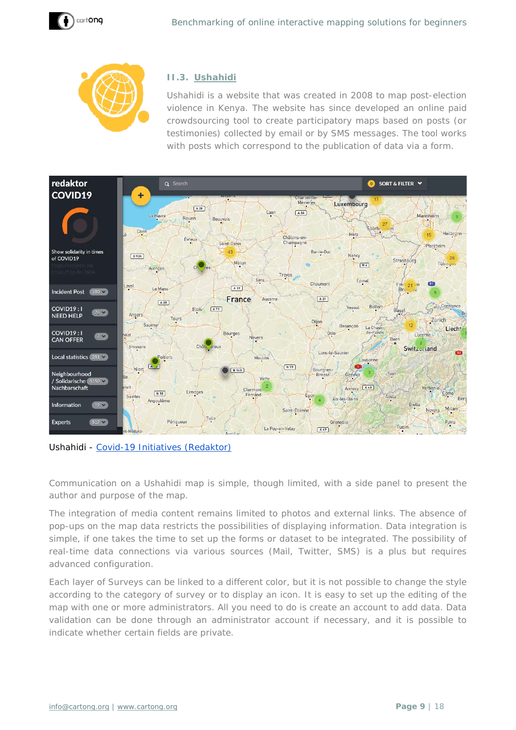



## <span id="page-8-0"></span>**II.3. [Ushahidi](https://www.ushahidi.com/)**

Ushahidi is a website that was created in 2008 to map post-election violence in Kenya. The website has since developed an online paid crowdsourcing tool to create participatory maps based on posts (or testimonies) collected by email or by SMS messages. The tool works with posts which correspond to the publication of data via a form.



*Ushahidi - [Covid-19 Initiatives \(Redaktor\)](https://redaktor.ushahidi.io/views/map)*

Communication on a Ushahidi map is simple, though limited, with a side panel to present the author and purpose of the map.

The integration of media content remains limited to photos and external links. The absence of pop-ups on the map data restricts the possibilities of displaying information. Data integration is simple, if one takes the time to set up the forms or dataset to be integrated. The possibility of real-time data connections via various sources (Mail, Twitter, SMS) is a plus but requires advanced configuration.

Each layer of *Surveys* can be linked to a different color, but it is not possible to change the style according to the category of survey or to display an icon. It is easy to set up the editing of the map with one or more administrators. All you need to do is create an account to add data. Data validation can be done through an administrator account if necessary, and it is possible to indicate whether certain fields are private.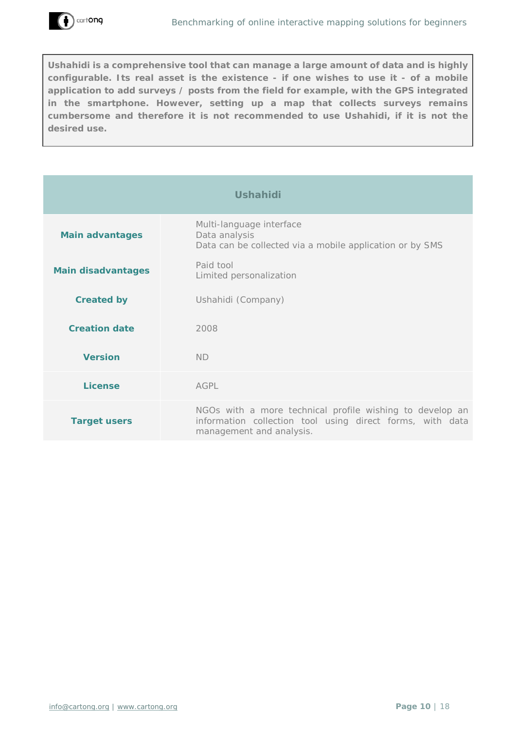

**Ushahidi is a comprehensive tool that can manage a large amount of data and is highly configurable. Its real asset is the existence - if one wishes to use it - of a mobile application to add surveys / posts from the field for example, with the GPS integrated in the smartphone. However, setting up a map that collects surveys remains cumbersome and therefore it is not recommended to use Ushahidi, if it is not the desired use.**

| <b>Ushahidi</b>           |                                                                                                                                                   |  |  |  |
|---------------------------|---------------------------------------------------------------------------------------------------------------------------------------------------|--|--|--|
| <b>Main advantages</b>    | Multi-language interface<br>Data analysis<br>Data can be collected via a mobile application or by SMS                                             |  |  |  |
| <b>Main disadvantages</b> | Paid tool<br>Limited personalization                                                                                                              |  |  |  |
| <b>Created by</b>         | Ushahidi (Company)                                                                                                                                |  |  |  |
| <b>Creation date</b>      | 2008                                                                                                                                              |  |  |  |
| <b>Version</b>            | <b>ND</b>                                                                                                                                         |  |  |  |
| <b>License</b>            | AGPL                                                                                                                                              |  |  |  |
| <b>Target users</b>       | NGOs with a more technical profile wishing to develop an<br>information collection tool using direct forms, with data<br>management and analysis. |  |  |  |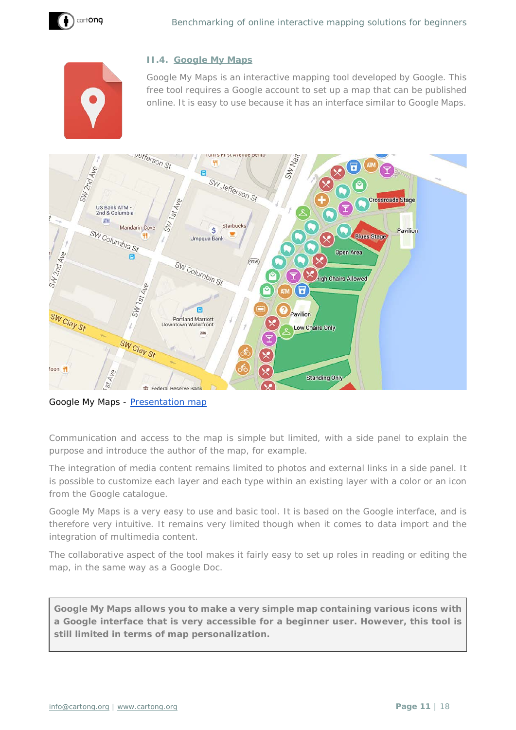<span id="page-10-0"></span>



## **II.4. [Google My Maps](https://www.google.com/maps/d/u/0/?hl=fr)**

Google My Maps is an interactive mapping tool developed by Google. This free tool requires a Google account to set up a map that can be published online. It is easy to use because it has an interface similar to Google Maps.



Google My Maps - [Presentation map](https://www.google.com/maps/d/u/0/viewer?usp=sharing&hl=fr&mid=1if03zMr8KQsME43VkTujAbV9iUs)

Communication and access to the map is simple but limited, with a side panel to explain the purpose and introduce the author of the map, for example.

The integration of media content remains limited to photos and external links in a side panel. It is possible to customize each layer and each type within an existing layer with a color or an icon from the Google catalogue.

Google My Maps is a very easy to use and basic tool. It is based on the Google interface, and is therefore very intuitive. It remains very limited though when it comes to data import and the integration of multimedia content.

The collaborative aspect of the tool makes it fairly easy to set up roles in reading or editing the map, in the same way as a Google Doc.

**Google My Maps allows you to make a very simple map containing various icons with a Google interface that is very accessible for a beginner user. However, this tool is still limited in terms of map personalization.**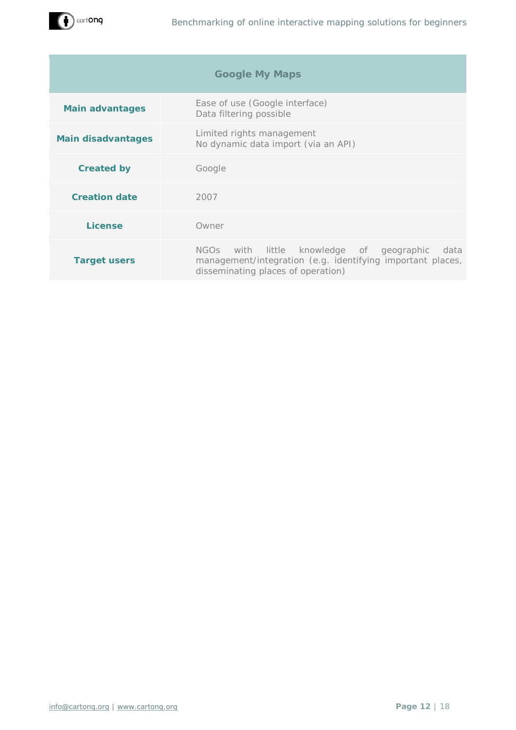

| <b>Google My Maps</b>     |                                                                                                                                                                        |  |  |
|---------------------------|------------------------------------------------------------------------------------------------------------------------------------------------------------------------|--|--|
| <b>Main advantages</b>    | Ease of use (Google interface)<br>Data filtering possible                                                                                                              |  |  |
| <b>Main disadvantages</b> | Limited rights management<br>No dynamic data import (via an API)                                                                                                       |  |  |
| <b>Created by</b>         | Google                                                                                                                                                                 |  |  |
| <b>Creation date</b>      | 2007                                                                                                                                                                   |  |  |
| License                   | Owner                                                                                                                                                                  |  |  |
| <b>Target users</b>       | little knowledge of geographic<br>NGO <sub>S</sub><br>with<br>data<br>management/integration (e.g. identifying important places,<br>disseminating places of operation) |  |  |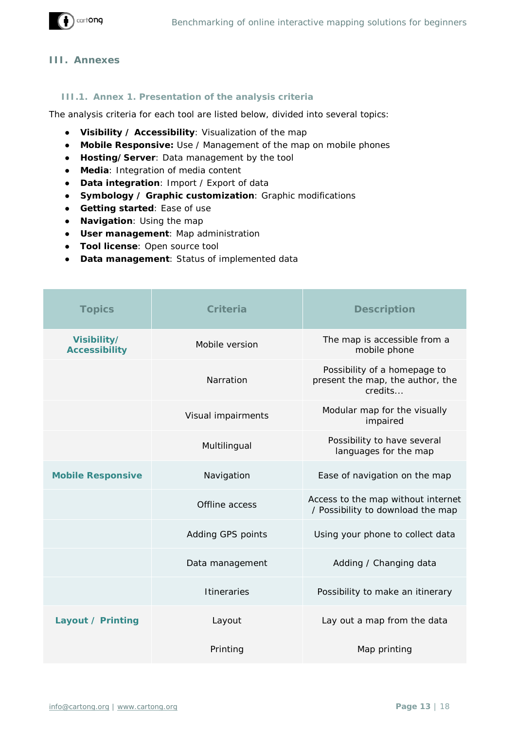

#### <span id="page-12-0"></span>**III. Annexes**

#### <span id="page-12-1"></span>**III.1. Annex 1. Presentation of the analysis criteria**

The analysis criteria for each tool are listed below, divided into several topics:

- **Visibility / Accessibility**: Visualization of the map
- **Mobile Responsive:** Use / Management of the map on mobile phones
- **Hosting/Server**: Data management by the tool
- **Media**: Integration of media content
- **Data integration**: Import / Export of data
- **Symbology / Graphic customization**: Graphic modifications
- **Getting started**: Ease of use
- **Navigation**: Using the map
- **User management**: Map administration
- **Tool license**: Open source tool
- **Data management**: Status of implemented data

| <b>Topics</b>                       | Criteria           | <b>Description</b>                                                          |
|-------------------------------------|--------------------|-----------------------------------------------------------------------------|
| Visibility/<br><b>Accessibility</b> | Mobile version     | The map is accessible from a<br>mobile phone                                |
|                                     | Narration          | Possibility of a homepage to<br>present the map, the author, the<br>credits |
|                                     | Visual impairments | Modular map for the visually<br>impaired                                    |
|                                     | Multilingual       | Possibility to have several<br>languages for the map                        |
| <b>Mobile Responsive</b>            | Navigation         | Ease of navigation on the map                                               |
|                                     | Offline access     | Access to the map without internet<br>/ Possibility to download the map     |
|                                     | Adding GPS points  | Using your phone to collect data                                            |
|                                     | Data management    | Adding / Changing data                                                      |
|                                     | <b>Itineraries</b> | Possibility to make an itinerary                                            |
| Layout / Printing                   | Layout             | Lay out a map from the data                                                 |
|                                     | Printing           | Map printing                                                                |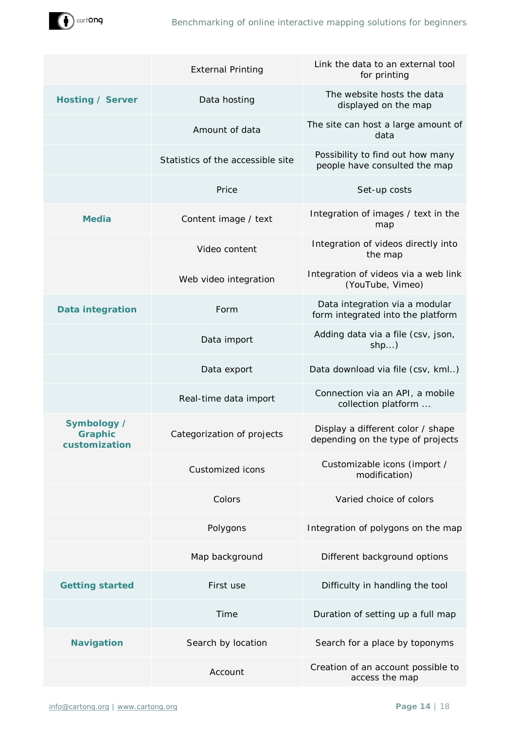

|                                                | <b>External Printing</b>          | Link the data to an external tool<br>for printing                      |
|------------------------------------------------|-----------------------------------|------------------------------------------------------------------------|
| <b>Hosting / Server</b>                        | Data hosting                      | The website hosts the data<br>displayed on the map                     |
|                                                | Amount of data                    | The site can host a large amount of<br>data                            |
|                                                | Statistics of the accessible site | Possibility to find out how many<br>people have consulted the map      |
|                                                | Price                             | Set-up costs                                                           |
| <b>Media</b>                                   | Content image / text              | Integration of images / text in the<br>map                             |
|                                                | Video content                     | Integration of videos directly into<br>the map                         |
|                                                | Web video integration             | Integration of videos via a web link<br>(YouTube, Vimeo)               |
| <b>Data integration</b>                        | Form                              | Data integration via a modular<br>form integrated into the platform    |
|                                                | Data import                       | Adding data via a file (csv, json,<br>$shp$ )                          |
|                                                | Data export                       | Data download via file (csv, kml)                                      |
|                                                | Real-time data import             | Connection via an API, a mobile<br>collection platform                 |
| Symbology /<br><b>Graphic</b><br>customization | Categorization of projects        | Display a different color / shape<br>depending on the type of projects |
|                                                | Customized icons                  | Customizable icons (import /<br>modification)                          |
|                                                | Colors                            | Varied choice of colors                                                |
|                                                | Polygons                          | Integration of polygons on the map                                     |
|                                                | Map background                    | Different background options                                           |
| <b>Getting started</b>                         | First use                         | Difficulty in handling the tool                                        |
|                                                | Time                              | Duration of setting up a full map                                      |
| <b>Navigation</b>                              | Search by location                | Search for a place by toponyms                                         |
|                                                | Account                           | Creation of an account possible to<br>access the map                   |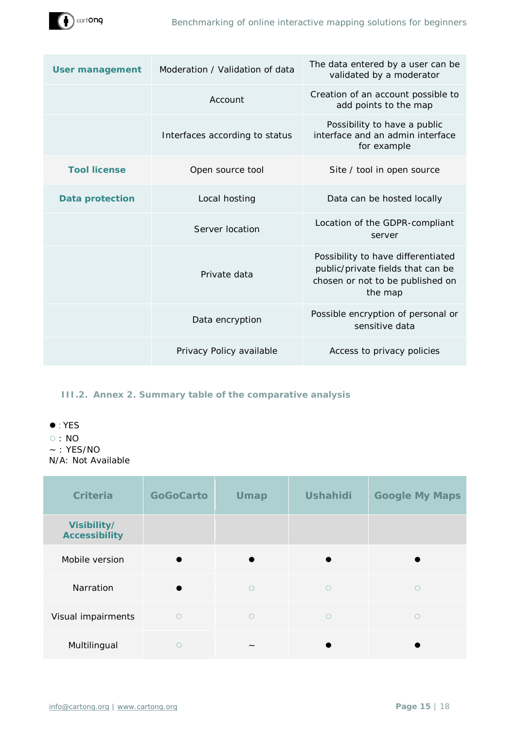

| <b>User management</b> | Moderation / Validation of data | The data entered by a user can be<br>validated by a moderator                                                          |
|------------------------|---------------------------------|------------------------------------------------------------------------------------------------------------------------|
|                        | Account                         | Creation of an account possible to<br>add points to the map                                                            |
|                        | Interfaces according to status  | Possibility to have a public<br>interface and an admin interface<br>for example                                        |
| <b>Tool license</b>    | Open source tool                | Site / tool in open source                                                                                             |
| <b>Data protection</b> | Local hosting                   | Data can be hosted locally                                                                                             |
|                        | Server location                 | Location of the GDPR-compliant<br>server                                                                               |
|                        | Private data                    | Possibility to have differentiated<br>public/private fields that can be<br>chosen or not to be published on<br>the map |
|                        | Data encryption                 | Possible encryption of personal or<br>sensitive data                                                                   |
|                        | Privacy Policy available        | Access to privacy policies                                                                                             |
|                        |                                 |                                                                                                                        |

## <span id="page-14-0"></span>**III.2. Annex 2. Summary table of the comparative analysis**

- ⚫ : YES
- ⚪ : NO
- $~\sim$  : YES/NO N/A: Not Available

| <b>Criteria</b>                     | <b>GoGoCarto</b> | <b>Umap</b> | <b>Ushahidi</b> | <b>Google My Maps</b> |
|-------------------------------------|------------------|-------------|-----------------|-----------------------|
| Visibility/<br><b>Accessibility</b> |                  |             |                 |                       |
| Mobile version                      |                  |             |                 |                       |
| Narration                           |                  | $\bigcirc$  | $\bigcirc$      | ∩                     |
| Visual impairments                  | $\circ$          | $\circ$     | $\circ$         | ∩                     |
| Multilingual                        | ∩                |             |                 |                       |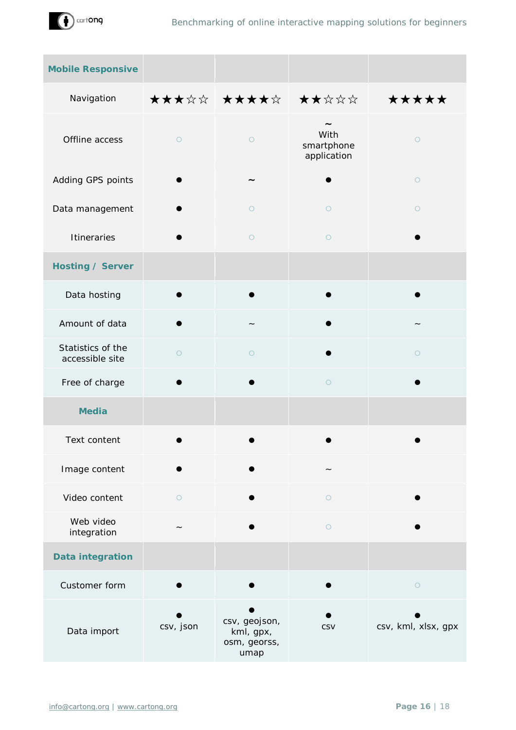

| <b>Mobile Responsive</b>             |            |                                                    |                                   |                     |
|--------------------------------------|------------|----------------------------------------------------|-----------------------------------|---------------------|
| Navigation                           |            | <b>★★★☆☆│★★★★☆│ ★★☆☆☆</b>                          |                                   | *****               |
| Offline access                       | $\circ$    | $\bigcirc$                                         | With<br>smartphone<br>application | $\circ$             |
| Adding GPS points                    |            |                                                    |                                   | $\circ$             |
| Data management                      |            | $\bigcirc$                                         | $\circ$                           | $\circ$             |
| <b>Itineraries</b>                   |            | $\bigcirc$                                         | $\bigcirc$                        |                     |
| <b>Hosting / Server</b>              |            |                                                    |                                   |                     |
| Data hosting                         |            |                                                    |                                   |                     |
| Amount of data                       |            |                                                    |                                   |                     |
| Statistics of the<br>accessible site | $\circ$    | $\circ$                                            |                                   | $\circ$             |
| Free of charge                       |            |                                                    | $\bigcirc$                        |                     |
| <b>Media</b>                         |            |                                                    |                                   |                     |
| Text content                         |            |                                                    |                                   |                     |
| Image content                        |            |                                                    |                                   |                     |
| Video content                        | $\bigcirc$ |                                                    | $\circ$                           |                     |
| Web video<br>integration             |            |                                                    | $\circ$                           |                     |
| <b>Data integration</b>              |            |                                                    |                                   |                     |
| Customer form                        |            |                                                    |                                   | $\bigcirc$          |
| Data import                          | csv, json  | csv, geojson,<br>kml, gpx,<br>osm, georss,<br>umap | CSV                               | csv, kml, xlsx, gpx |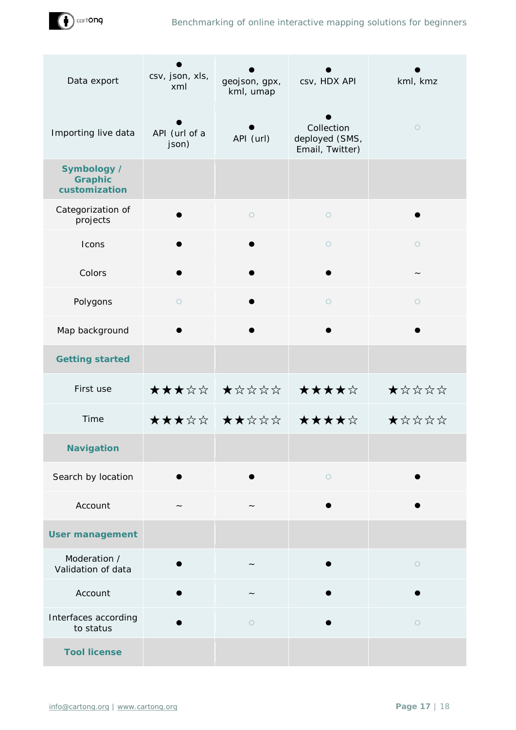

| Data export                                    | csv, json, xls,<br>xml | geojson, gpx,<br>kml, umap | csv, HDX API                                    | kml, kmz |
|------------------------------------------------|------------------------|----------------------------|-------------------------------------------------|----------|
| Importing live data                            | API (url of a<br>json) | API (url)                  | Collection<br>deployed (SMS,<br>Email, Twitter) | $\circ$  |
| Symbology /<br><b>Graphic</b><br>customization |                        |                            |                                                 |          |
| Categorization of<br>projects                  |                        | $\circ$                    | $\circ$                                         |          |
| Icons                                          |                        |                            | $\circ$                                         | $\circ$  |
| Colors                                         |                        |                            |                                                 |          |
| Polygons                                       | $\circ$                |                            | $\circ$                                         | $\circ$  |
| Map background                                 |                        |                            |                                                 |          |
| <b>Getting started</b>                         |                        |                            |                                                 |          |
| First use                                      |                        | ***** ***** *****          |                                                 | ★☆☆☆☆    |
| Time                                           |                        | <b>★★★☆☆│★★☆☆☆│ ★★★★☆</b>  |                                                 | *****    |
| <b>Navigation</b>                              |                        |                            |                                                 |          |
| Search by location                             |                        |                            | $\circ$                                         |          |
| Account                                        |                        |                            |                                                 |          |
| <b>User management</b>                         |                        |                            |                                                 |          |
| Moderation /<br>Validation of data             |                        |                            |                                                 | $\circ$  |
| Account                                        |                        |                            |                                                 |          |
| Interfaces according<br>to status              |                        | $\circ$                    |                                                 | $\circ$  |
| <b>Tool license</b>                            |                        |                            |                                                 |          |